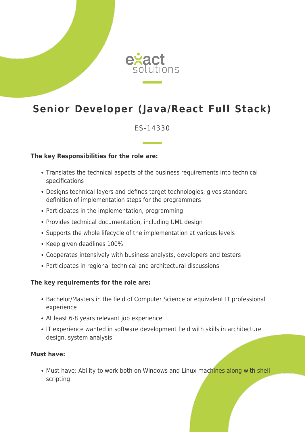

# **Senior Developer (Java/React Full Stack)**

## ES-14330

#### **The key Responsibilities for the role are:**

- Translates the technical aspects of the business requirements into technical specifications
- Designs technical layers and defines target technologies, gives standard definition of implementation steps for the programmers
- Participates in the implementation, programming
- Provides technical documentation, including UML design
- Supports the whole lifecycle of the implementation at various levels
- Keep given deadlines 100%
- Cooperates intensively with business analysts, developers and testers
- Participates in regional technical and architectural discussions

#### **The key requirements for the role are:**

- Bachelor/Masters in the field of Computer Science or equivalent IT professional experience
- At least 6-8 years relevant job experience
- IT experience wanted in software development field with skills in architecture design, system analysis

#### **Must have:**

• Must have: Ability to work both on Windows and Linux machines along with shell scripting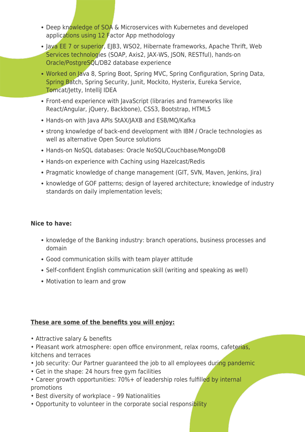- Deep knowledge of SOA & Microservices with Kubernetes and developed applications using 12 Factor App methodology
- Java EE 7 or superior, EJB3, WSO2, Hibernate frameworks, Apache Thrift, Web Services technologies (SOAP, Axis2, JAX-WS, JSON, RESTful), hands-on Oracle/PostgreSQL/DB2 database experience
- Worked on Java 8, Spring Boot, Spring MVC, Spring Configuration, Spring Data, Spring Batch, Spring Security, Junit, Mockito, Hysterix, Eureka Service, Tomcat/Jetty, IntelliJ IDEA
- Front-end experience with JavaScript (libraries and frameworks like React/Angular, jQuery, Backbone), CSS3, Bootstrap, HTML5
- Hands-on with Java APIs StAX/JAXB and ESB/MQ/Kafka
- strong knowledge of back-end development with IBM / Oracle technologies as well as alternative Open Source solutions
- Hands-on NoSQL databases: Oracle NoSQL/Couchbase/MongoDB
- Hands-on experience with Caching using Hazelcast/Redis
- Pragmatic knowledge of change management (GIT, SVN, Maven, Jenkins, Jira)
- knowledge of GOF patterns; design of layered architecture; knowledge of industry standards on daily implementation levels;

### **Nice to have:**

- knowledge of the Banking industry: branch operations, business processes and domain
- Good communication skills with team player attitude
- Self-confident English communication skill (writing and speaking as well)
- Motivation to learn and grow

## **These are some of the benefits you will enjoy:**

- Attractive salary & benefits
- Pleasant work atmosphere: open office environment, relax rooms, cafeterias, kitchens and terraces
- Job security: Our Partner guaranteed the job to all employees during pandemic
- Get in the shape: 24 hours free gym facilities
- Career growth opportunities: 70%+ of leadership roles fulfilled by internal promotions
- Best diversity of workplace 99 Nationalities
- Opportunity to volunteer in the corporate social responsibility